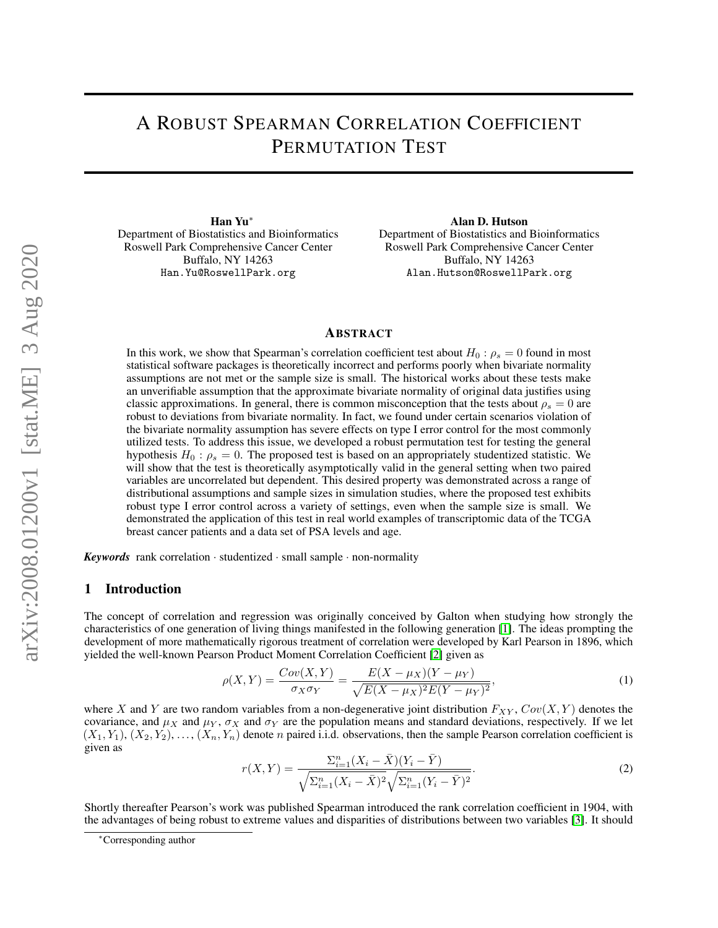# A ROBUST SPEARMAN CORRELATION COEFFICIENT PERMUTATION TEST

Han Yu<sup>∗</sup> Department of Biostatistics and Bioinformatics Roswell Park Comprehensive Cancer Center Buffalo, NY 14263 Han.Yu@RoswellPark.org

Alan D. Hutson Department of Biostatistics and Bioinformatics Roswell Park Comprehensive Cancer Center Buffalo, NY 14263 Alan.Hutson@RoswellPark.org

#### ABSTRACT

In this work, we show that Spearman's correlation coefficient test about  $H_0$  :  $\rho_s = 0$  found in most statistical software packages is theoretically incorrect and performs poorly when bivariate normality assumptions are not met or the sample size is small. The historical works about these tests make an unverifiable assumption that the approximate bivariate normality of original data justifies using classic approximations. In general, there is common misconception that the tests about  $\rho_s = 0$  are robust to deviations from bivariate normality. In fact, we found under certain scenarios violation of the bivariate normality assumption has severe effects on type I error control for the most commonly utilized tests. To address this issue, we developed a robust permutation test for testing the general hypothesis  $H_0$ :  $\rho_s = 0$ . The proposed test is based on an appropriately studentized statistic. We will show that the test is theoretically asymptotically valid in the general setting when two paired variables are uncorrelated but dependent. This desired property was demonstrated across a range of distributional assumptions and sample sizes in simulation studies, where the proposed test exhibits robust type I error control across a variety of settings, even when the sample size is small. We demonstrated the application of this test in real world examples of transcriptomic data of the TCGA breast cancer patients and a data set of PSA levels and age.

*Keywords* rank correlation · studentized · small sample · non-normality

### 1 Introduction

The concept of correlation and regression was originally conceived by Galton when studying how strongly the characteristics of one generation of living things manifested in the following generation [\[1\]](#page-8-0). The ideas prompting the development of more mathematically rigorous treatment of correlation were developed by Karl Pearson in 1896, which yielded the well-known Pearson Product Moment Correlation Coefficient [\[2\]](#page-8-1) given as

$$
\rho(X,Y) = \frac{Cov(X,Y)}{\sigma_X \sigma_Y} = \frac{E(X - \mu_X)(Y - \mu_Y)}{\sqrt{E(X - \mu_X)^2 E(Y - \mu_Y)^2}},
$$
\n(1)

<span id="page-0-0"></span>where X and Y are two random variables from a non-degenerative joint distribution  $F_{XY}$ ,  $Cov(X, Y)$  denotes the covariance, and  $\mu_X$  and  $\mu_Y$ ,  $\sigma_X$  and  $\sigma_Y$  are the population means and standard deviations, respectively. If we let  $(X_1, Y_1), (X_2, Y_2), \ldots, (X_n, Y_n)$  denote n paired i.i.d. observations, then the sample Pearson correlation coefficient is given as

$$
r(X,Y) = \frac{\sum_{i=1}^{n} (X_i - \bar{X})(Y_i - \bar{Y})}{\sqrt{\sum_{i=1}^{n} (X_i - \bar{X})^2} \sqrt{\sum_{i=1}^{n} (Y_i - \bar{Y})^2}}.
$$
\n(2)

Shortly thereafter Pearson's work was published Spearman introduced the rank correlation coefficient in 1904, with the advantages of being robust to extreme values and disparities of distributions between two variables [\[3\]](#page-8-2). It should

<sup>∗</sup>Corresponding author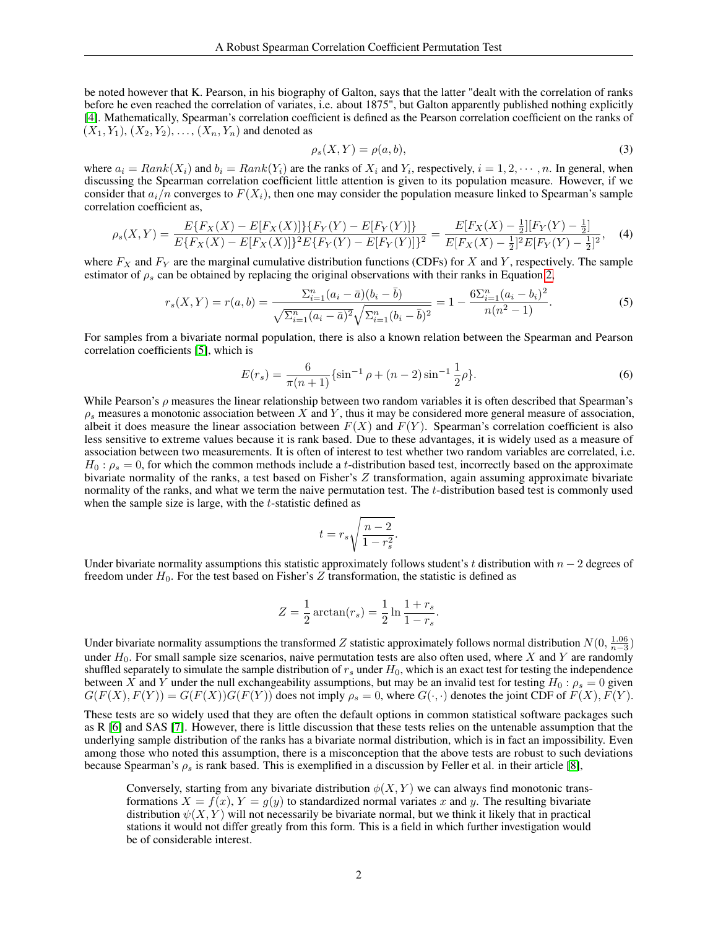be noted however that K. Pearson, in his biography of Galton, says that the latter "dealt with the correlation of ranks before he even reached the correlation of variates, i.e. about 1875", but Galton apparently published nothing explicitly [\[4\]](#page-8-3). Mathematically, Spearman's correlation coefficient is defined as the Pearson correlation coefficient on the ranks of  $(X_1, Y_1), (X_2, Y_2), \ldots, (X_n, Y_n)$  and denoted as

<span id="page-1-0"></span>
$$
\rho_s(X,Y) = \rho(a,b),\tag{3}
$$

where  $a_i = Rank(X_i)$  and  $b_i = Rank(Y_i)$  are the ranks of  $X_i$  and  $Y_i$ , respectively,  $i = 1, 2, \dots, n$ . In general, when discussing the Spearman correlation coefficient little attention is given to its population measure. However, if we consider that  $a_i/n$  converges to  $F(X_i)$ , then one may consider the population measure linked to Spearman's sample correlation coefficient as,

$$
\rho_s(X,Y) = \frac{E\{F_X(X) - E[F_X(X)]\}\{F_Y(Y) - E[F_Y(Y)]\}}{E\{F_X(X) - E[F_X(X)]\}^2 E\{F_Y(Y) - E[F_Y(Y)]\}^2} = \frac{E[F_X(X) - \frac{1}{2}][F_Y(Y) - \frac{1}{2}]}{E[F_X(X) - \frac{1}{2}]^2 E[F_Y(Y) - \frac{1}{2}]^2},\tag{4}
$$

where  $F_X$  and  $F_Y$  are the marginal cumulative distribution functions (CDFs) for X and Y, respectively. The sample estimator of  $\rho_s$  can be obtained by replacing the original observations with their ranks in Equation [2,](#page-0-0)

$$
r_s(X,Y) = r(a,b) = \frac{\Sigma_{i=1}^n (a_i - \bar{a})(b_i - \bar{b})}{\sqrt{\Sigma_{i=1}^n (a_i - \bar{a})^2} \sqrt{\Sigma_{i=1}^n (b_i - \bar{b})^2}} = 1 - \frac{6\Sigma_{i=1}^n (a_i - b_i)^2}{n(n^2 - 1)}.
$$
(5)

For samples from a bivariate normal population, there is also a known relation between the Spearman and Pearson correlation coefficients [\[5\]](#page-8-4), which is

$$
E(r_s) = \frac{6}{\pi(n+1)} \{ \sin^{-1}\rho + (n-2)\sin^{-1}\frac{1}{2}\rho \}.
$$
 (6)

While Pearson's  $\rho$  measures the linear relationship between two random variables it is often described that Spearman's  $\rho_s$  measures a monotonic association between X and Y, thus it may be considered more general measure of association, albeit it does measure the linear association between  $F(X)$  and  $F(Y)$ . Spearman's correlation coefficient is also less sensitive to extreme values because it is rank based. Due to these advantages, it is widely used as a measure of association between two measurements. It is often of interest to test whether two random variables are correlated, i.e.  $H_0: \rho_s = 0$ , for which the common methods include a t-distribution based test, incorrectly based on the approximate bivariate normality of the ranks, a test based on Fisher's Z transformation, again assuming approximate bivariate normality of the ranks, and what we term the naive permutation test. The  $t$ -distribution based test is commonly used when the sample size is large, with the  $t$ -statistic defined as

$$
t = r_s \sqrt{\frac{n-2}{1-r_s^2}}.
$$

Under bivariate normality assumptions this statistic approximately follows student's t distribution with  $n - 2$  degrees of freedom under  $H_0$ . For the test based on Fisher's Z transformation, the statistic is defined as

$$
Z = \frac{1}{2}\arctan(r_s) = \frac{1}{2}\ln\frac{1+r_s}{1-r_s}.
$$

Under bivariate normality assumptions the transformed Z statistic approximately follows normal distribution  $N(0, \frac{1.06}{n-3})$ under  $H_0$ . For small sample size scenarios, naive permutation tests are also often used, where X and Y are randomly shuffled separately to simulate the sample distribution of  $r_s$  under  $H_0$ , which is an exact test for testing the independence between X and Y under the null exchangeability assumptions, but may be an invalid test for testing  $H_0: \rho_s = 0$  given  $G(F(X), F(Y)) = G(F(X))G(F(Y))$  does not imply  $\rho_s = 0$ , where  $G(\cdot, \cdot)$  denotes the joint CDF of  $F(X), F(Y)$ .

These tests are so widely used that they are often the default options in common statistical software packages such as R [\[6\]](#page-8-5) and SAS [\[7\]](#page-8-6). However, there is little discussion that these tests relies on the untenable assumption that the underlying sample distribution of the ranks has a bivariate normal distribution, which is in fact an impossibility. Even among those who noted this assumption, there is a misconception that the above tests are robust to such deviations because Spearman's  $\rho_s$  is rank based. This is exemplified in a discussion by Feller et al. in their article [\[8\]](#page-8-7),

Conversely, starting from any bivariate distribution  $\phi(X, Y)$  we can always find monotonic transformations  $X = f(x)$ ,  $Y = g(y)$  to standardized normal variates x and y. The resulting bivariate distribution  $\psi(X, Y)$  will not necessarily be bivariate normal, but we think it likely that in practical stations it would not differ greatly from this form. This is a field in which further investigation would be of considerable interest.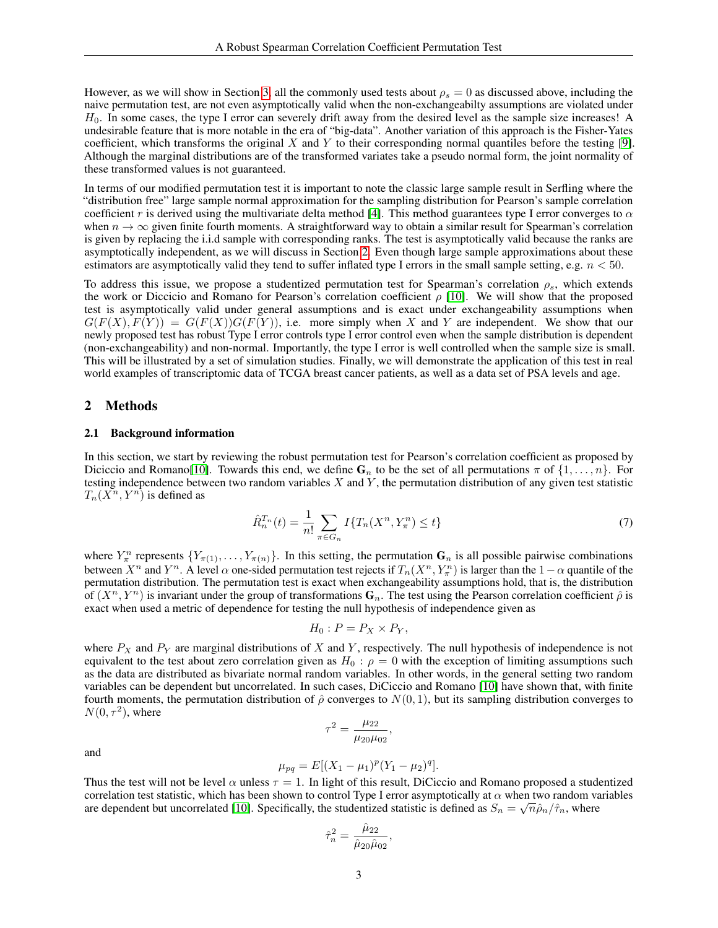However, as we will show in Section [3,](#page-4-0) all the commonly used tests about  $\rho_s = 0$  as discussed above, including the naive permutation test, are not even asymptotically valid when the non-exchangeabilty assumptions are violated under  $H<sub>0</sub>$ . In some cases, the type I error can severely drift away from the desired level as the sample size increases! A undesirable feature that is more notable in the era of "big-data". Another variation of this approach is the Fisher-Yates coefficient, which transforms the original  $X$  and  $Y$  to their corresponding normal quantiles before the testing [\[9\]](#page-8-8). Although the marginal distributions are of the transformed variates take a pseudo normal form, the joint normality of these transformed values is not guaranteed.

In terms of our modified permutation test it is important to note the classic large sample result in Serfling where the "distribution free" large sample normal approximation for the sampling distribution for Pearson's sample correlation coefficient r is derived using the multivariate delta method [\[4\]](#page-8-3). This method guarantees type I error converges to  $\alpha$ when  $n \to \infty$  given finite fourth moments. A straightforward way to obtain a similar result for Spearman's correlation is given by replacing the i.i.d sample with corresponding ranks. The test is asymptotically valid because the ranks are asymptotically independent, as we will discuss in Section [2.](#page-2-0) Even though large sample approximations about these estimators are asymptotically valid they tend to suffer inflated type I errors in the small sample setting, e.g.  $n < 50$ .

To address this issue, we propose a studentized permutation test for Spearman's correlation  $\rho_s$ , which extends the work or Diccicio and Romano for Pearson's correlation coefficient  $\rho$  [\[10\]](#page-8-9). We will show that the proposed test is asymptotically valid under general assumptions and is exact under exchangeability assumptions when  $G(F(X), F(Y)) = G(F(X))G(F(Y))$ , i.e. more simply when X and Y are independent. We show that our newly proposed test has robust Type I error controls type I error control even when the sample distribution is dependent (non-exchangeability) and non-normal. Importantly, the type I error is well controlled when the sample size is small. This will be illustrated by a set of simulation studies. Finally, we will demonstrate the application of this test in real world examples of transcriptomic data of TCGA breast cancer patients, as well as a data set of PSA levels and age.

# <span id="page-2-0"></span>2 Methods

#### 2.1 Background information

In this section, we start by reviewing the robust permutation test for Pearson's correlation coefficient as proposed by Diciccio and Romano[\[10\]](#page-8-9). Towards this end, we define  $G_n$  to be the set of all permutations  $\pi$  of  $\{1, \ldots, n\}$ . For testing independence between two random variables  $X$  and  $Y$ , the permutation distribution of any given test statistic  $T_n(X^n, Y^n)$  is defined as

$$
\hat{R}_n^{T_n}(t) = \frac{1}{n!} \sum_{\pi \in G_n} I\{T_n(X^n, Y_\pi^n) \le t\} \tag{7}
$$

where  $Y_{\pi}^n$  represents  $\{Y_{\pi(1)}, \ldots, Y_{\pi(n)}\}$ . In this setting, the permutation  $G_n$  is all possible pairwise combinations between  $X^n$  and  $Y^n$ . A level  $\alpha$  one-sided permutation test rejects if  $T_n(X^n, Y^n_{\pi})$  is larger than the  $1-\alpha$  quantile of the permutation distribution. The permutation test is exact when exchangeability assumptions hold, that is, the distribution of  $(X^n, Y^n)$  is invariant under the group of transformations  $G_n$ . The test using the Pearson correlation coefficient  $\hat{\rho}$  is exact when used a metric of dependence for testing the null hypothesis of independence given as

$$
H_0: P = P_X \times P_Y,
$$

where  $P_X$  and  $P_Y$  are marginal distributions of X and Y, respectively. The null hypothesis of independence is not equivalent to the test about zero correlation given as  $H_0$ :  $\rho = 0$  with the exception of limiting assumptions such as the data are distributed as bivariate normal random variables. In other words, in the general setting two random variables can be dependent but uncorrelated. In such cases, DiCiccio and Romano [\[10\]](#page-8-9) have shown that, with finite fourth moments, the permutation distribution of  $\hat{\rho}$  converges to  $N(0, 1)$ , but its sampling distribution converges to  $N(0, \tau^2)$ , where

$$
\tau^2 = \frac{\mu_{22}}{\mu_{20}\mu_{02}},
$$

and

$$
\mu_{pq} = E[(X_1 - \mu_1)^p (Y_1 - \mu_2)^q].
$$

Thus the test will not be level  $\alpha$  unless  $\tau = 1$ . In light of this result, DiCiccio and Romano proposed a studentized correlation test statistic, which has been shown to control Type I error asymptotically at  $\alpha$  when two random variables are dependent but uncorrelated [\[10\]](#page-8-9). Specifically, the studentized statistic is defined as  $S_n = \sqrt{n} \hat{\rho}_n / \hat{\tau}_n$ , where

$$
\hat{\tau}_n^2 = \frac{\hat{\mu}_{22}}{\hat{\mu}_{20}\hat{\mu}_{02}},
$$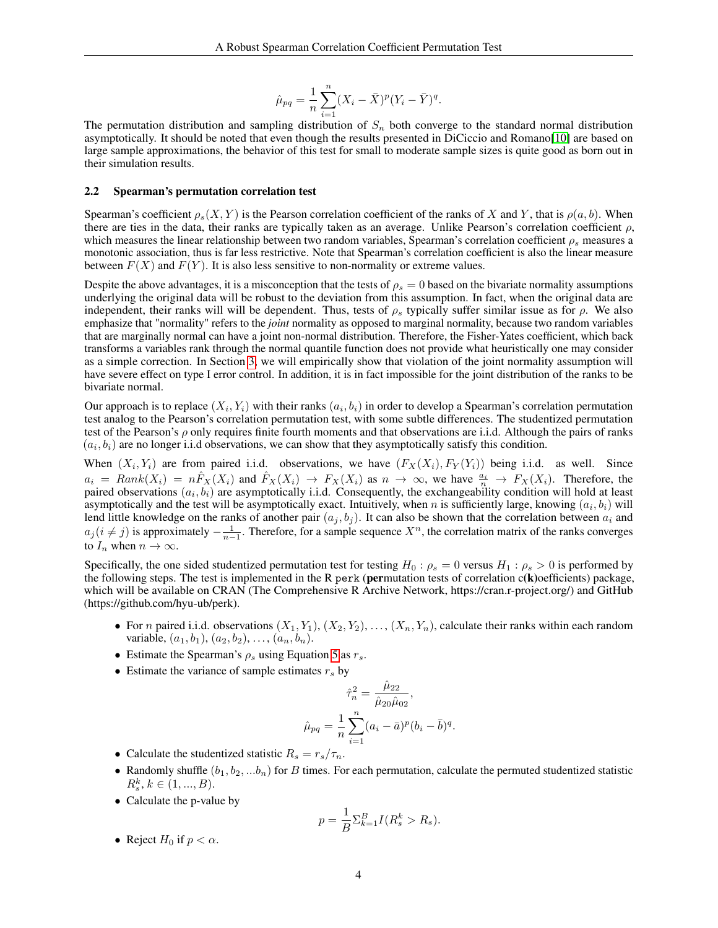$$
\hat{\mu}_{pq} = \frac{1}{n} \sum_{i=1}^{n} (X_i - \bar{X})^p (Y_i - \bar{Y})^q.
$$

The permutation distribution and sampling distribution of  $S_n$  both converge to the standard normal distribution asymptotically. It should be noted that even though the results presented in DiCiccio and Romano[\[10\]](#page-8-9) are based on large sample approximations, the behavior of this test for small to moderate sample sizes is quite good as born out in their simulation results.

#### 2.2 Spearman's permutation correlation test

Spearman's coefficient  $\rho_s(X, Y)$  is the Pearson correlation coefficient of the ranks of X and Y, that is  $\rho(a, b)$ . When there are ties in the data, their ranks are typically taken as an average. Unlike Pearson's correlation coefficient  $\rho$ , which measures the linear relationship between two random variables, Spearman's correlation coefficient  $\rho_s$  measures a monotonic association, thus is far less restrictive. Note that Spearman's correlation coefficient is also the linear measure between  $F(X)$  and  $F(Y)$ . It is also less sensitive to non-normality or extreme values.

Despite the above advantages, it is a misconception that the tests of  $\rho_s = 0$  based on the bivariate normality assumptions underlying the original data will be robust to the deviation from this assumption. In fact, when the original data are independent, their ranks will will be dependent. Thus, tests of  $\rho_s$  typically suffer similar issue as for  $\rho$ . We also emphasize that "normality" refers to the *joint* normality as opposed to marginal normality, because two random variables that are marginally normal can have a joint non-normal distribution. Therefore, the Fisher-Yates coefficient, which back transforms a variables rank through the normal quantile function does not provide what heuristically one may consider as a simple correction. In Section [3,](#page-4-0) we will empirically show that violation of the joint normality assumption will have severe effect on type I error control. In addition, it is in fact impossible for the joint distribution of the ranks to be bivariate normal.

Our approach is to replace  $(X_i, Y_i)$  with their ranks  $(a_i, b_i)$  in order to develop a Spearman's correlation permutation test analog to the Pearson's correlation permutation test, with some subtle differences. The studentized permutation test of the Pearson's  $\rho$  only requires finite fourth moments and that observations are i.i.d. Although the pairs of ranks  $(a_i, b_i)$  are no longer i.i.d observations, we can show that they asymptotically satisfy this condition.

When  $(X_i, Y_i)$  are from paired i.i.d. observations, we have  $(F_X(X_i), F_Y(Y_i))$  being i.i.d. as well. Since  $a_i = Rank(X_i) = n\hat{F}_X(X_i)$  and  $\hat{F}_X(X_i) \to F_X(X_i)$  as  $n \to \infty$ , we have  $\frac{a_i}{n} \to F_X(X_i)$ . Therefore, the paired observations  $(a_i, b_i)$  are asymptotically i.i.d. Consequently, the exchangeability condition will hold at least asymptotically and the test will be asymptotically exact. Intuitively, when n is sufficiently large, knowing  $(a_i, b_i)$  will lend little knowledge on the ranks of another pair  $(a_j, b_j)$ . It can also be shown that the correlation between  $a_i$  and  $a_j (i \neq j)$  is approximately  $-\frac{1}{n-1}$ . Therefore, for a sample sequence  $X^n$ , the correlation matrix of the ranks converges to  $I_n$  when  $n \to \infty$ .

Specifically, the one sided studentized permutation test for testing  $H_0$ :  $\rho_s = 0$  versus  $H_1$ :  $\rho_s > 0$  is performed by the following steps. The test is implemented in the R perk (permutation tests of correlation  $c(k)$ ) oefficients) package, which will be available on CRAN (The Comprehensive R Archive Network, https://cran.r-project.org/) and GitHub (https://github.com/hyu-ub/perk).

- For n paired i.i.d. observations  $(X_1, Y_1), (X_2, Y_2), \ldots, (X_n, Y_n)$ , calculate their ranks within each random variable,  $(a_1, b_1), (a_2, b_2), \ldots, (a_n, b_n)$ .
- Estimate the Spearman's  $\rho_s$  using Equation [5](#page-1-0) as  $r_s$ .
- Estimate the variance of sample estimates  $r<sub>s</sub>$  by

$$
\hat{\tau}_n^2 = \frac{\hat{\mu}_{22}}{\hat{\mu}_{20}\hat{\mu}_{02}},
$$

$$
\hat{\mu}_{pq} = \frac{1}{n} \sum_{i=1}^n (a_i - \bar{a})^p (b_i - \bar{b})^q.
$$

- Calculate the studentized statistic  $R_s = r_s/\tau_n$ .
- Randomly shuffle  $(b_1, b_2, ... b_n)$  for B times. For each permutation, calculate the permuted studentized statistic  $R_s^k, k \in (1, ..., B).$
- Calculate the p-value by

$$
p = \frac{1}{B} \sum_{k=1}^{B} I(R_s^k > R_s).
$$

• Reject  $H_0$  if  $p < \alpha$ .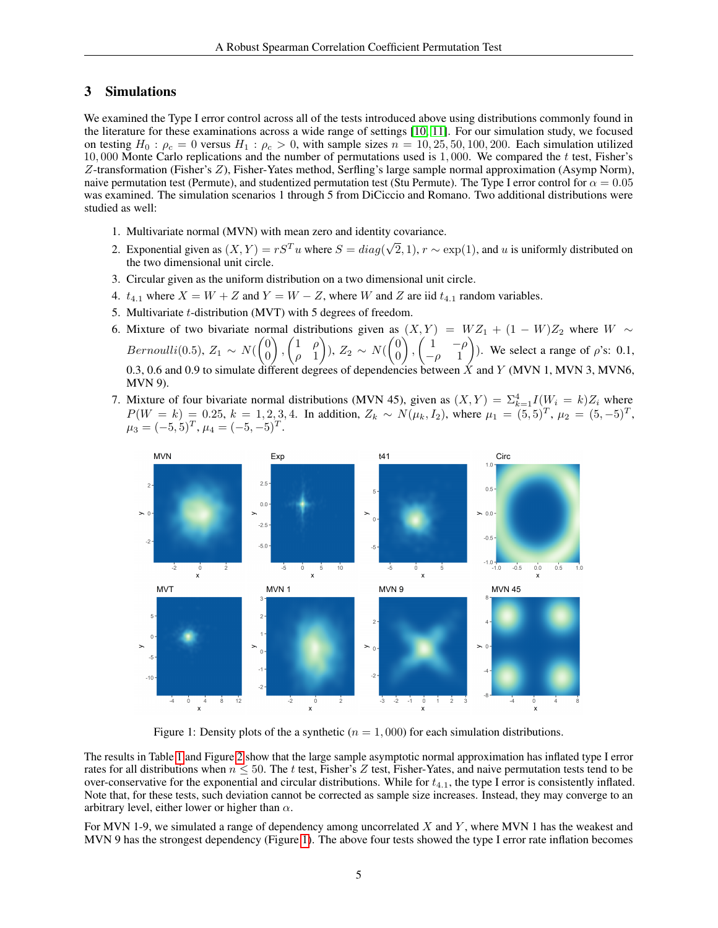## <span id="page-4-0"></span>3 Simulations

We examined the Type I error control across all of the tests introduced above using distributions commonly found in the literature for these examinations across a wide range of settings [\[10,](#page-8-9) [11\]](#page-8-10). For our simulation study, we focused on testing  $H_0$ :  $\rho_c = 0$  versus  $H_1$ :  $\rho_c > 0$ , with sample sizes  $n = 10, 25, 50, 100, 200$ . Each simulation utilized 10, 000 Monte Carlo replications and the number of permutations used is 1,000. We compared the  $t$  test, Fisher's Z-transformation (Fisher's Z), Fisher-Yates method, Serfling's large sample normal approximation (Asymp Norm), naive permutation test (Permute), and studentized permutation test (Stu Permute). The Type I error control for  $\alpha = 0.05$ was examined. The simulation scenarios 1 through 5 from DiCiccio and Romano. Two additional distributions were studied as well:

- 1. Multivariate normal (MVN) with mean zero and identity covariance.
- 2. Exponential given as  $(X, Y) = rS<sup>T</sup>u$  where  $S = diag(\sqrt{2\pi})$  $(2, 1)$ ,  $r \sim \exp(1)$ , and u is uniformly distributed on the two dimensional unit circle.
- 3. Circular given as the uniform distribution on a two dimensional unit circle.
- 4.  $t_{4,1}$  where  $X = W + Z$  and  $Y = W Z$ , where W and Z are iid  $t_{4,1}$  random variables.
- 5. Multivariate t-distribution (MVT) with 5 degrees of freedom.
- 6. Mixture of two bivariate normal distributions given as  $(X, Y) = WZ_1 + (1 W)Z_2$  where  $W \sim$ Bernoulli(0.5),  $Z_1 \sim N(\begin{pmatrix} 0 \\ 0 \end{pmatrix})$ 0  $\bigg)$ ,  $\bigg(\begin{matrix} 1 & \rho \\ 0 & 1 \end{matrix}\bigg)$  $\rho$  1 ),  $Z_2 \sim N(\begin{pmatrix} 0 \\ 0 \end{pmatrix})$ 0  $\bigg)$ ,  $\bigg( \begin{array}{cc} 1 & -\rho \\ 0 & 1 \end{array} \bigg)$  $-\rho$  1 ). We select a range of  $\rho$ 's: 0.1, 0.3, 0.6 and 0.9 to simulate different degrees of dependencies between  $\dot{X}$  and  $Y$  (MVN 1, MVN 3, MVN6, MVN 9).
- 7. Mixture of four bivariate normal distributions (MVN 45), given as  $(X,Y) = \sum_{k=1}^{4} I(W_i = k)Z_i$  where  $P(W = k) = 0.25, k = 1, 2, 3, 4.$  In addition,  $Z_k \sim N(\mu_k, I_2)$ , where  $\mu_1 = (5, 5)^T$ ,  $\mu_2 = (5, -5)^T$ ,  $\mu_3 = (-5, 5)^T$ ,  $\mu_4 = (-5, -5)^T$ .



<span id="page-4-1"></span>Figure 1: Density plots of the a synthetic ( $n = 1,000$ ) for each simulation distributions.

The results in Table [1](#page-6-0) and Figure [2](#page-5-0) show that the large sample asymptotic normal approximation has inflated type I error rates for all distributions when  $n \le 50$ . The t test, Fisher's Z test, Fisher-Yates, and naive permutation tests tend to be over-conservative for the exponential and circular distributions. While for  $t_{4,1}$ , the type I error is consistently inflated. Note that, for these tests, such deviation cannot be corrected as sample size increases. Instead, they may converge to an arbitrary level, either lower or higher than  $\alpha$ .

For MVN 1-9, we simulated a range of dependency among uncorrelated  $X$  and  $Y$ , where MVN 1 has the weakest and MVN 9 has the strongest dependency (Figure [1\)](#page-4-1). The above four tests showed the type I error rate inflation becomes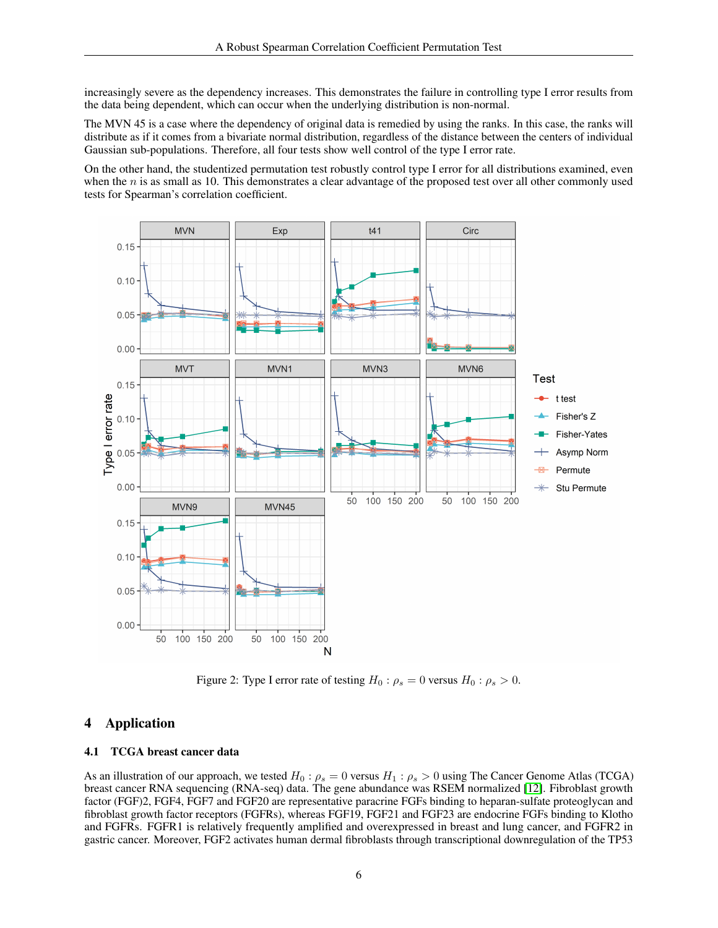increasingly severe as the dependency increases. This demonstrates the failure in controlling type I error results from the data being dependent, which can occur when the underlying distribution is non-normal.

The MVN 45 is a case where the dependency of original data is remedied by using the ranks. In this case, the ranks will distribute as if it comes from a bivariate normal distribution, regardless of the distance between the centers of individual Gaussian sub-populations. Therefore, all four tests show well control of the type I error rate.

On the other hand, the studentized permutation test robustly control type I error for all distributions examined, even when the  $n$  is as small as 10. This demonstrates a clear advantage of the proposed test over all other commonly used tests for Spearman's correlation coefficient.



<span id="page-5-0"></span>Figure 2: Type I error rate of testing  $H_0: \rho_s = 0$  versus  $H_0: \rho_s > 0$ .

# 4 Application

### 4.1 TCGA breast cancer data

As an illustration of our approach, we tested  $H_0: \rho_s = 0$  versus  $H_1: \rho_s > 0$  using The Cancer Genome Atlas (TCGA) breast cancer RNA sequencing (RNA-seq) data. The gene abundance was RSEM normalized [\[12\]](#page-8-11). Fibroblast growth factor (FGF)2, FGF4, FGF7 and FGF20 are representative paracrine FGFs binding to heparan-sulfate proteoglycan and fibroblast growth factor receptors (FGFRs), whereas FGF19, FGF21 and FGF23 are endocrine FGFs binding to Klotho and FGFRs. FGFR1 is relatively frequently amplified and overexpressed in breast and lung cancer, and FGFR2 in gastric cancer. Moreover, FGF2 activates human dermal fibroblasts through transcriptional downregulation of the TP53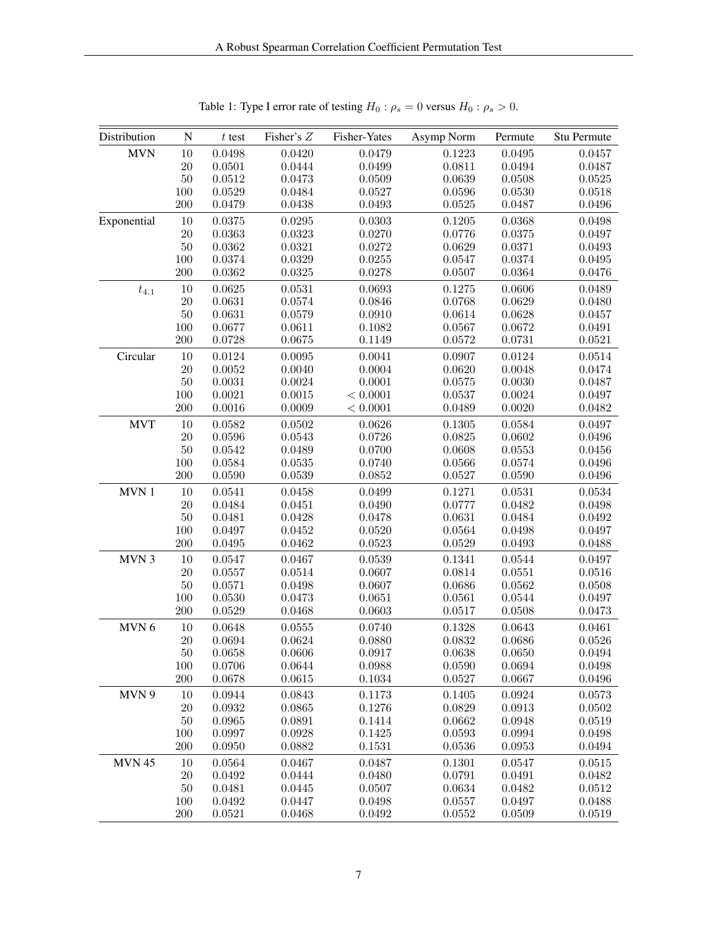| Distribution  | N      | $t$ test | Fisher's Z | Fisher-Yates | Asymp Norm | Permute | Stu Permute |
|---------------|--------|----------|------------|--------------|------------|---------|-------------|
| <b>MVN</b>    | 10     | 0.0498   | 0.0420     | 0.0479       | 0.1223     | 0.0495  | 0.0457      |
|               | 20     | 0.0501   | 0.0444     | 0.0499       | 0.0811     | 0.0494  | 0.0487      |
|               | 50     | 0.0512   | 0.0473     | 0.0509       | 0.0639     | 0.0508  | 0.0525      |
|               | 100    | 0.0529   | 0.0484     | 0.0527       | 0.0596     | 0.0530  | 0.0518      |
|               | 200    | 0.0479   | 0.0438     | 0.0493       | 0.0525     | 0.0487  | 0.0496      |
| Exponential   | 10     | 0.0375   | 0.0295     | 0.0303       | 0.1205     | 0.0368  | 0.0498      |
|               | $20\,$ | 0.0363   | 0.0323     | 0.0270       | 0.0776     | 0.0375  | 0.0497      |
|               | 50     | 0.0362   | 0.0321     | 0.0272       | 0.0629     | 0.0371  | 0.0493      |
|               | 100    | 0.0374   | 0.0329     | 0.0255       | 0.0547     | 0.0374  | 0.0495      |
|               | 200    | 0.0362   | 0.0325     | 0.0278       | 0.0507     | 0.0364  | 0.0476      |
| $t_{4.1}$     | 10     | 0.0625   | 0.0531     | 0.0693       | 0.1275     | 0.0606  | 0.0489      |
|               | 20     | 0.0631   | 0.0574     | 0.0846       | 0.0768     | 0.0629  | 0.0480      |
|               | $50\,$ | 0.0631   | 0.0579     | 0.0910       | 0.0614     | 0.0628  | 0.0457      |
|               | 100    | 0.0677   | 0.0611     | 0.1082       | 0.0567     | 0.0672  | 0.0491      |
|               | 200    | 0.0728   | 0.0675     | 0.1149       | 0.0572     | 0.0731  | 0.0521      |
| Circular      | 10     | 0.0124   | 0.0095     | 0.0041       | $0.0907\,$ | 0.0124  | 0.0514      |
|               | 20     | 0.0052   | 0.0040     | 0.0004       | 0.0620     | 0.0048  | 0.0474      |
|               | 50     | 0.0031   | 0.0024     | 0.0001       | 0.0575     | 0.0030  | 0.0487      |
|               | 100    | 0.0021   | 0.0015     | < 0.0001     | 0.0537     | 0.0024  | 0.0497      |
|               | 200    | 0.0016   | 0.0009     | < 0.0001     | 0.0489     | 0.0020  | 0.0482      |
| <b>MVT</b>    | 10     | 0.0582   | 0.0502     | 0.0626       | 0.1305     | 0.0584  | 0.0497      |
|               | 20     | 0.0596   | 0.0543     | 0.0726       | 0.0825     | 0.0602  | 0.0496      |
|               | 50     | 0.0542   | 0.0489     | 0.0700       | 0.0608     | 0.0553  | 0.0456      |
|               | 100    | 0.0584   | 0.0535     | 0.0740       | 0.0566     | 0.0574  | 0.0496      |
|               | 200    | 0.0590   | 0.0539     | 0.0852       | 0.0527     | 0.0590  | 0.0496      |
| MVN 1         | 10     | 0.0541   | 0.0458     | 0.0499       | 0.1271     | 0.0531  | 0.0534      |
|               | 20     | 0.0484   | 0.0451     | 0.0490       | 0.0777     | 0.0482  | 0.0498      |
|               | 50     | 0.0481   | 0.0428     | 0.0478       | 0.0631     | 0.0484  | 0.0492      |
|               | 100    | 0.0497   | 0.0452     | 0.0520       | 0.0564     | 0.0498  | 0.0497      |
|               | 200    | 0.0495   | 0.0462     | 0.0523       | 0.0529     | 0.0493  | 0.0488      |
| MVN 3         | 10     | 0.0547   | 0.0467     | 0.0539       | 0.1341     | 0.0544  | 0.0497      |
|               | $20\,$ | 0.0557   | 0.0514     | 0.0607       | 0.0814     | 0.0551  | 0.0516      |
|               | $50\,$ | 0.0571   | 0.0498     | 0.0607       | 0.0686     | 0.0562  | 0.0508      |
|               | 100    | 0.0530   | 0.0473     | 0.0651       | 0.0561     | 0.0544  | 0.0497      |
|               | 200    | 0.0529   | 0.0468     | 0.0603       | 0.0517     | 0.0508  | 0.0473      |
| MVN 6         | 10     | 0.0648   | 0.0555     | 0.0740       | 0.1328     | 0.0643  | 0.0461      |
|               | 20     | 0.0694   | 0.0624     | 0.0880       | 0.0832     | 0.0686  | 0.0526      |
|               | $50\,$ | 0.0658   | 0.0606     | 0.0917       | 0.0638     | 0.0650  | 0.0494      |
|               | 100    | 0.0706   | 0.0644     | 0.0988       | 0.0590     | 0.0694  | 0.0498      |
|               | 200    | 0.0678   | 0.0615     | 0.1034       | 0.0527     | 0.0667  | 0.0496      |
| MVN 9         | 10     | 0.0944   | 0.0843     | 0.1173       | 0.1405     | 0.0924  | 0.0573      |
|               | $20\,$ | 0.0932   | 0.0865     | 0.1276       | 0.0829     | 0.0913  | 0.0502      |
|               | 50     | 0.0965   | 0.0891     | 0.1414       | 0.0662     | 0.0948  | 0.0519      |
|               | 100    | 0.0997   | 0.0928     | 0.1425       | 0.0593     | 0.0994  | 0.0498      |
|               | 200    | 0.0950   | 0.0882     | 0.1531       | 0.0536     | 0.0953  | 0.0494      |
| <b>MVN 45</b> | 10     | 0.0564   | 0.0467     | 0.0487       | 0.1301     | 0.0547  | 0.0515      |
|               | $20\,$ | 0.0492   | 0.0444     | 0.0480       | 0.0791     | 0.0491  | 0.0482      |
|               | $50\,$ | 0.0481   | 0.0445     | 0.0507       | 0.0634     | 0.0482  | 0.0512      |
|               | 100    | 0.0492   | 0.0447     | 0.0498       | 0.0557     | 0.0497  | 0.0488      |
|               | 200    | 0.0521   | 0.0468     | 0.0492       | 0.0552     | 0.0509  | 0.0519      |

<span id="page-6-0"></span>Table 1: Type I error rate of testing  $H_0: \rho_s = 0$  versus  $H_0: \rho_s > 0$ .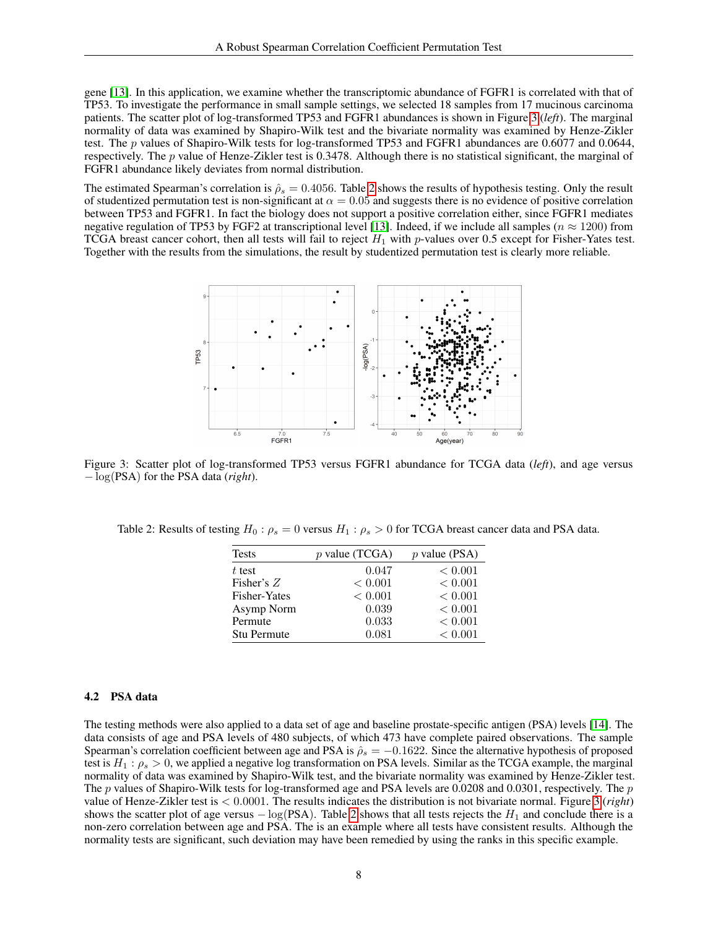gene [\[13\]](#page-8-12). In this application, we examine whether the transcriptomic abundance of FGFR1 is correlated with that of TP53. To investigate the performance in small sample settings, we selected 18 samples from 17 mucinous carcinoma patients. The scatter plot of log-transformed TP53 and FGFR1 abundances is shown in Figure [3](#page-7-0) (*left*). The marginal normality of data was examined by Shapiro-Wilk test and the bivariate normality was examined by Henze-Zikler test. The p values of Shapiro-Wilk tests for log-transformed TP53 and FGFR1 abundances are 0.6077 and 0.0644, respectively. The p value of Henze-Zikler test is 0.3478. Although there is no statistical significant, the marginal of FGFR1 abundance likely deviates from normal distribution.

The estimated Spearman's correlation is  $\hat{\rho}_s = 0.4056$ . Table [2](#page-7-1) shows the results of hypothesis testing. Only the result of studentized permutation test is non-significant at  $\alpha = 0.05$  and suggests there is no evidence of positive correlation between TP53 and FGFR1. In fact the biology does not support a positive correlation either, since FGFR1 mediates negative regulation of TP53 by FGF2 at transcriptional level [\[13\]](#page-8-12). Indeed, if we include all samples ( $n \approx 1200$ ) from TCGA breast cancer cohort, then all tests will fail to reject  $H_1$  with p-values over 0.5 except for Fisher-Yates test. Together with the results from the simulations, the result by studentized permutation test is clearly more reliable.



<span id="page-7-0"></span>Figure 3: Scatter plot of log-transformed TP53 versus FGFR1 abundance for TCGA data (*left*), and age versus − log(PSA) for the PSA data (*right*).

<span id="page-7-1"></span>Table 2: Results of testing  $H_0: \rho_s = 0$  versus  $H_1: \rho_s > 0$  for TCGA breast cancer data and PSA data.

| <b>Tests</b>        | $p$ value (TCGA) | $p$ value (PSA) |
|---------------------|------------------|-----------------|
| $t$ test            | 0.047            | < 0.001         |
| Fisher's $Z$        | < 0.001          | < 0.001         |
| <b>Fisher-Yates</b> | < 0.001          | < 0.001         |
| Asymp Norm          | 0.039            | < 0.001         |
| Permute             | 0.033            | < 0.001         |
| <b>Stu Permute</b>  | 0.081            | < 0.001         |

## 4.2 PSA data

The testing methods were also applied to a data set of age and baseline prostate-specific antigen (PSA) levels [\[14\]](#page-9-0). The data consists of age and PSA levels of 480 subjects, of which 473 have complete paired observations. The sample Spearman's correlation coefficient between age and PSA is  $\hat{\rho}_s = -0.1622$ . Since the alternative hypothesis of proposed test is  $H_1: \rho_s > 0$ , we applied a negative log transformation on PSA levels. Similar as the TCGA example, the marginal normality of data was examined by Shapiro-Wilk test, and the bivariate normality was examined by Henze-Zikler test. The p values of Shapiro-Wilk tests for log-transformed age and PSA levels are  $0.0208$  and  $0.0301$ , respectively. The p value of Henze-Zikler test is < 0.0001. The results indicates the distribution is not bivariate normal. Figure [3](#page-7-0) (*right*) shows the scatter plot of age versus  $-\log(PSA)$ . Table [2](#page-7-1) shows that all tests rejects the  $H_1$  and conclude there is a non-zero correlation between age and PSA. The is an example where all tests have consistent results. Although the normality tests are significant, such deviation may have been remedied by using the ranks in this specific example.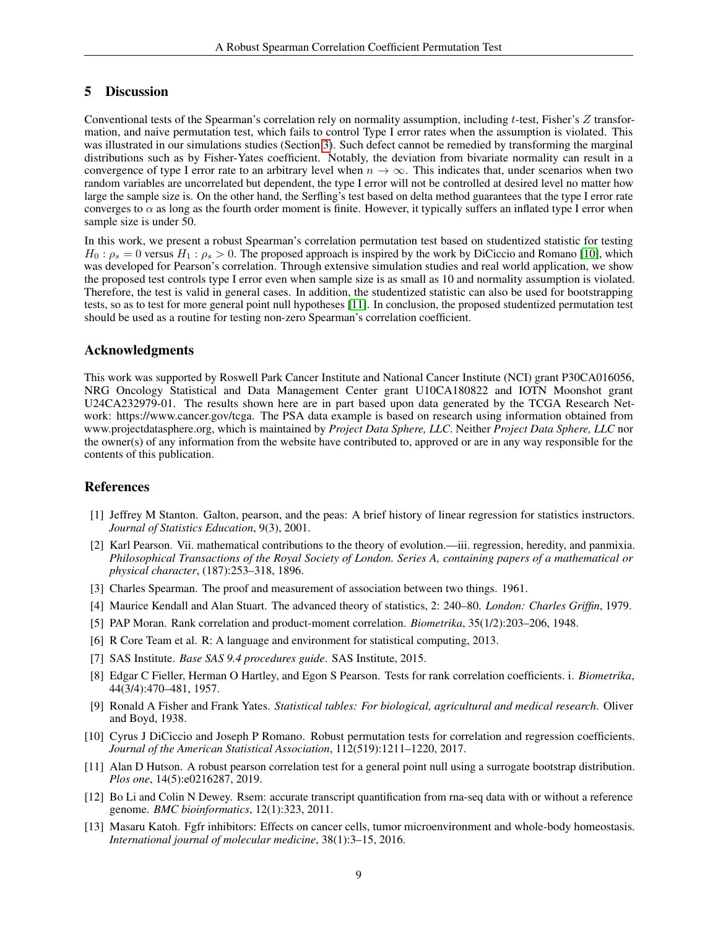## 5 Discussion

Conventional tests of the Spearman's correlation rely on normality assumption, including t-test, Fisher's Z transformation, and naive permutation test, which fails to control Type I error rates when the assumption is violated. This was illustrated in our simulations studies (Section [3\)](#page-4-0). Such defect cannot be remedied by transforming the marginal distributions such as by Fisher-Yates coefficient. Notably, the deviation from bivariate normality can result in a convergence of type I error rate to an arbitrary level when  $n \to \infty$ . This indicates that, under scenarios when two random variables are uncorrelated but dependent, the type I error will not be controlled at desired level no matter how large the sample size is. On the other hand, the Serfling's test based on delta method guarantees that the type I error rate converges to  $\alpha$  as long as the fourth order moment is finite. However, it typically suffers an inflated type I error when sample size is under 50.

In this work, we present a robust Spearman's correlation permutation test based on studentized statistic for testing  $H_0: \rho_s = 0$  versus  $H_1: \rho_s > 0$ . The proposed approach is inspired by the work by DiCiccio and Romano [\[10\]](#page-8-9), which was developed for Pearson's correlation. Through extensive simulation studies and real world application, we show the proposed test controls type I error even when sample size is as small as 10 and normality assumption is violated. Therefore, the test is valid in general cases. In addition, the studentized statistic can also be used for bootstrapping tests, so as to test for more general point null hypotheses [\[11\]](#page-8-10). In conclusion, the proposed studentized permutation test should be used as a routine for testing non-zero Spearman's correlation coefficient.

# Acknowledgments

This work was supported by Roswell Park Cancer Institute and National Cancer Institute (NCI) grant P30CA016056, NRG Oncology Statistical and Data Management Center grant U10CA180822 and IOTN Moonshot grant U24CA232979-01. The results shown here are in part based upon data generated by the TCGA Research Network: https://www.cancer.gov/tcga. The PSA data example is based on research using information obtained from www.projectdatasphere.org, which is maintained by *Project Data Sphere, LLC*. Neither *Project Data Sphere, LLC* nor the owner(s) of any information from the website have contributed to, approved or are in any way responsible for the contents of this publication.

### References

- <span id="page-8-0"></span>[1] Jeffrey M Stanton. Galton, pearson, and the peas: A brief history of linear regression for statistics instructors. *Journal of Statistics Education*, 9(3), 2001.
- <span id="page-8-1"></span>[2] Karl Pearson. Vii. mathematical contributions to the theory of evolution.—iii. regression, heredity, and panmixia. *Philosophical Transactions of the Royal Society of London. Series A, containing papers of a mathematical or physical character*, (187):253–318, 1896.
- <span id="page-8-2"></span>[3] Charles Spearman. The proof and measurement of association between two things. 1961.
- <span id="page-8-3"></span>[4] Maurice Kendall and Alan Stuart. The advanced theory of statistics, 2: 240–80. *London: Charles Griffin*, 1979.
- <span id="page-8-4"></span>[5] PAP Moran. Rank correlation and product-moment correlation. *Biometrika*, 35(1/2):203–206, 1948.
- <span id="page-8-5"></span>[6] R Core Team et al. R: A language and environment for statistical computing, 2013.
- <span id="page-8-6"></span>[7] SAS Institute. *Base SAS 9.4 procedures guide*. SAS Institute, 2015.
- <span id="page-8-7"></span>[8] Edgar C Fieller, Herman O Hartley, and Egon S Pearson. Tests for rank correlation coefficients. i. *Biometrika*, 44(3/4):470–481, 1957.
- <span id="page-8-8"></span>[9] Ronald A Fisher and Frank Yates. *Statistical tables: For biological, agricultural and medical research*. Oliver and Boyd, 1938.
- <span id="page-8-9"></span>[10] Cyrus J DiCiccio and Joseph P Romano. Robust permutation tests for correlation and regression coefficients. *Journal of the American Statistical Association*, 112(519):1211–1220, 2017.
- <span id="page-8-10"></span>[11] Alan D Hutson. A robust pearson correlation test for a general point null using a surrogate bootstrap distribution. *Plos one*, 14(5):e0216287, 2019.
- <span id="page-8-11"></span>[12] Bo Li and Colin N Dewey. Rsem: accurate transcript quantification from rna-seq data with or without a reference genome. *BMC bioinformatics*, 12(1):323, 2011.
- <span id="page-8-12"></span>[13] Masaru Katoh. Fgfr inhibitors: Effects on cancer cells, tumor microenvironment and whole-body homeostasis. *International journal of molecular medicine*, 38(1):3–15, 2016.